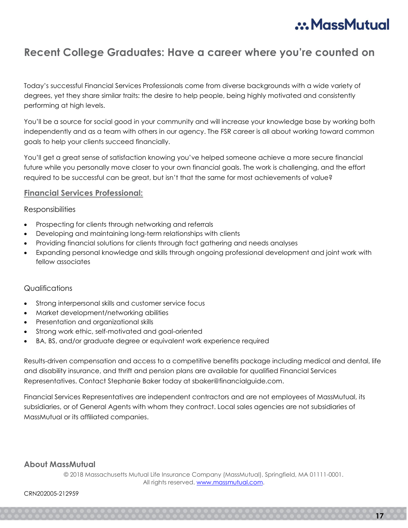# :: MassMutual

## Recent College Graduates: Have a career where you're counted on

Today's successful Financial Services Professionals come from diverse backgrounds with a wide variety of degrees, yet they share similar traits: the desire to help people, being highly motivated and consistently performing at high levels.

You'll be a source for social good in your community and will increase your knowledge base by working both independently and as a team with others in our agency. The FSR career is all about working toward common goals to help your clients succeed financially.

You'll get a great sense of satisfaction knowing you've helped someone achieve a more secure financial future while you personally move closer to your own financial goals. The work is challenging, and the effort required to be successful can be great, but isn't that the same for most achievements of value?

#### Financial Services Professional:

#### Responsibilities

- Prospecting for clients through networking and referrals
- Developing and maintaining long-term relationships with clients
- Providing financial solutions for clients through fact gathering and needs analyses
- Expanding personal knowledge and skills through ongoing professional development and joint work with fellow associates

### Qualifications

- Strong interpersonal skills and customer service focus
- Market development/networking abilities
- Presentation and organizational skills
- Strong work ethic, self-motivated and goal-oriented
- BA, BS, and/or graduate degree or equivalent work experience required

Results-driven compensation and access to a competitive benefits package including medical and dental, life and disability insurance, and thrift and pension plans are available for qualified Financial Services Representatives. Contact Stephanie Baker today at sbaker@financialguide.com.

Financial Services Representatives are independent contractors and are not employees of MassMutual, its subsidiaries, or of General Agents with whom they contract. Local sales agencies are not subsidiaries of MassMutual or its affiliated companies.

### About MassMutual

© 2018 Massachusetts Mutual Life Insurance Company (MassMutual), Springfield, MA 01111-0001. All rights reserved. www.massmutual.com.

Ĩ